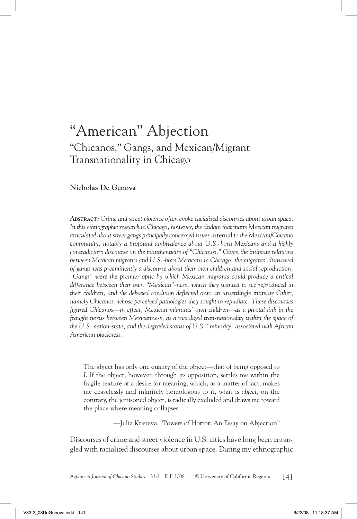# "American" Abjection "Chicanos," Gangs, and Mexican/Migrant Transnationality in Chicago

#### **Nicholas De Genova**

*Abstract: Crime and street violence often evoke racialized discourses about urban space. In this ethnographic research in Chicago, however, the disdain that many Mexican migrants articulated about street gangs principally concerned issues* internal *to the Mexican/Chicano community, notably a profound ambivalence about U.S.-born Mexicans and a highly contradictory discourse on the inauthenticity of "Chicanos." Given the intimate relations between Mexican migrants and U.S.-born Mexicans in Chicago, the migrants' disavowal of gangs was preeminently a discourse about their own children and social reproduction. "Gangs" were the premier optic by which Mexican migrants could produce a critical difference between their own "Mexican"-ness, which they wanted to see reproduced in their children, and the debased condition deflected onto an unsettlingly intimate Other, namely Chicanos, whose perceived pathologies they sought to repudiate. These discourses figured Chicanos—in effect, Mexican migrants' own children—as a pivotal link in the fraught nexus between Mexicanness, as a racialized transnationality within the space of the U.S. nation-state, and the degraded status of U.S. "minority" associated with African American blackness.*

The abject has only one quality of the object—that of being opposed to *I*. If the object, however, through its opposition, settles me within the fragile texture of a desire for meaning, which, as a matter of fact, makes me ceaselessly and infinitely homologous to it, what is *abject*, on the contrary, the jettisoned object, is radically excluded and draws me toward the place where meaning collapses.

—Julia Kristeva, "Powers of Horror: An Essay on Abjection"

Discourses of crime and street violence in U.S. cities have long been entangled with racialized discourses about urban space. During my ethnographic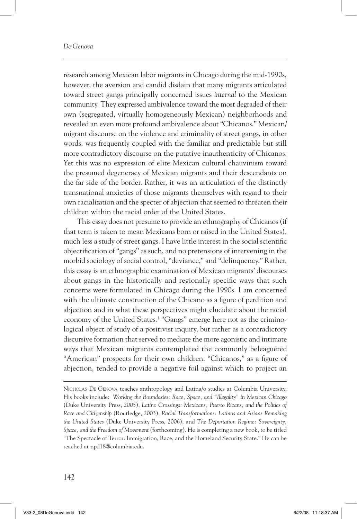research among Mexican labor migrants in Chicago during the mid-1990s, however, the aversion and candid disdain that many migrants articulated toward street gangs principally concerned issues *internal* to the Mexican community. They expressed ambivalence toward the most degraded of their own (segregated, virtually homogeneously Mexican) neighborhoods and revealed an even more profound ambivalence about "Chicanos." Mexican/ migrant discourse on the violence and criminality of street gangs, in other words, was frequently coupled with the familiar and predictable but still more contradictory discourse on the putative inauthenticity of Chicanos. Yet this was no expression of elite Mexican cultural chauvinism toward the presumed degeneracy of Mexican migrants and their descendants on the far side of the border. Rather, it was an articulation of the distinctly transnational anxieties of those migrants themselves with regard to their own racialization and the specter of abjection that seemed to threaten their children within the racial order of the United States.

This essay does not presume to provide an ethnography of Chicanos (if that term is taken to mean Mexicans born or raised in the United States), much less a study of street gangs. I have little interest in the social scientific objectification of "gangs" as such, and no pretensions of intervening in the morbid sociology of social control, "deviance," and "delinquency." Rather, this essay is an ethnographic examination of Mexican migrants' discourses about gangs in the historically and regionally specific ways that such concerns were formulated in Chicago during the 1990s. I am concerned with the ultimate construction of the Chicano as a figure of perdition and abjection and in what these perspectives might elucidate about the racial economy of the United States.<sup>1</sup> "Gangs" emerge here not as the criminological object of study of a positivist inquiry, but rather as a contradictory discursive formation that served to mediate the more agonistic and intimate ways that Mexican migrants contemplated the commonly beleaguered "American" prospects for their own children. "Chicanos," as a figure of abjection, tended to provide a negative foil against which to project an

Nicholas De Genova teaches anthropology and Latina/o studies at Columbia University. His books include: *Working the Boundaries: Race, Space, and "Illegality" in Mexican Chicago* (Duke University Press, 2005), *Latino Crossings: Mexicans, Puerto Ricans, and the Politics of Race and Citizenship* (Routledge, 2003), *Racial Transformations: Latinos and Asians Remaking the United States* (Duke University Press, 2006), and *The Deportation Regime: Sovereignty, Space, and the Freedom of Movement* (forthcoming). He is completing a new book, to be titled "The Spectacle of Terror: Immigration, Race, and the Homeland Security State." He can be reached at npd18@columbia.edu.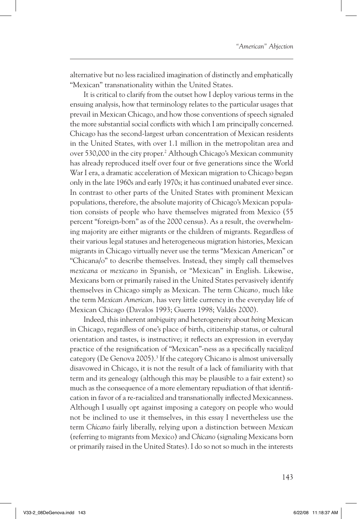alternative but no less racialized imagination of distinctly and emphatically "Mexican" transnationality within the United States.

It is critical to clarify from the outset how I deploy various terms in the ensuing analysis, how that terminology relates to the particular usages that prevail in Mexican Chicago, and how those conventions of speech signaled the more substantial social conflicts with which I am principally concerned. Chicago has the second-largest urban concentration of Mexican residents in the United States, with over 1.1 million in the metropolitan area and over 530,000 in the city proper.<sup>2</sup> Although Chicago's Mexican community has already reproduced itself over four or five generations since the World War I era, a dramatic acceleration of Mexican migration to Chicago began only in the late 1960s and early 1970s; it has continued unabated ever since. In contrast to other parts of the United States with prominent Mexican populations, therefore, the absolute majority of Chicago's Mexican population consists of people who have themselves migrated from Mexico (55 percent "foreign-born" as of the 2000 census). As a result, the overwhelming majority are either migrants or the children of migrants. Regardless of their various legal statuses and heterogeneous migration histories, Mexican migrants in Chicago virtually never use the terms "Mexican American" or "Chicana/o" to describe themselves. Instead, they simply call themselves *mexicana* or *mexicano* in Spanish, or "Mexican" in English. Likewise, Mexicans born or primarily raised in the United States pervasively identify themselves in Chicago simply as Mexican. The term *Chicano,* much like the term *Mexican American,* has very little currency in the everyday life of Mexican Chicago (Davalos 1993; Guerra 1998; Valdés 2000).

Indeed, this inherent ambiguity and heterogeneity about *being* Mexican in Chicago, regardless of one's place of birth, citizenship status, or cultural orientation and tastes, is instructive; it reflects an expression in everyday practice of the resignification of "Mexican"-ness as a specifically *racialized* category (De Genova 2005).<sup>3</sup> If the category Chicano is almost universally disavowed in Chicago, it is not the result of a lack of familiarity with that term and its genealogy (although this may be plausible to a fair extent) so much as the consequence of a more elementary repudiation of that identification in favor of a re-racialized and transnationally inflected Mexicanness. Although I usually opt against imposing a category on people who would not be inclined to use it themselves, in this essay I nevertheless use the term *Chicano* fairly liberally, relying upon a distinction between *Mexican* (referring to migrants from Mexico) and *Chicano* (signaling Mexicans born or primarily raised in the United States). I do so not so much in the interests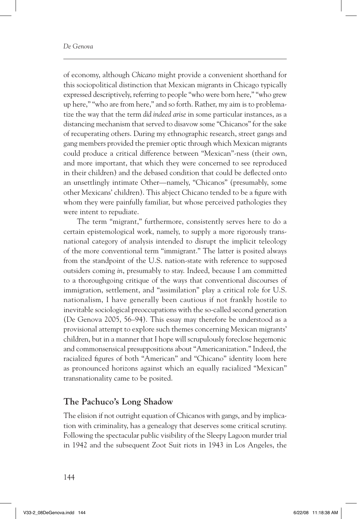of economy, although *Chicano* might provide a convenient shorthand for this sociopolitical distinction that Mexican migrants in Chicago typically expressed descriptively, referring to people "who were born here," "who grew up here," "who are from here," and so forth. Rather, my aim is to problematize the way that the term *did indeed arise* in some particular instances, as a distancing mechanism that served to disavow some "Chicanos" for the sake of recuperating others. During my ethnographic research, street gangs and gang members provided the premier optic through which Mexican migrants could produce a critical difference between "Mexican"-ness (their own, and more important, that which they were concerned to see reproduced in their children) and the debased condition that could be deflected onto an unsettlingly intimate Other—namely, "Chicanos" (presumably, some other Mexicans' children). This abject Chicano tended to be a figure with whom they were painfully familiar, but whose perceived pathologies they were intent to repudiate.

The term "migrant," furthermore, consistently serves here to do a certain epistemological work, namely, to supply a more rigorously transnational category of analysis intended to disrupt the implicit teleology of the more conventional term "immigrant." The latter is posited always from the standpoint of the U.S. nation-state with reference to supposed outsiders coming *in*, presumably to stay. Indeed, because I am committed to a thoroughgoing critique of the ways that conventional discourses of immigration, settlement, and "assimilation" play a critical role for U.S. nationalism, I have generally been cautious if not frankly hostile to inevitable sociological preoccupations with the so-called second generation (De Genova 2005, 56–94). This essay may therefore be understood as a provisional attempt to explore such themes concerning Mexican migrants' children, but in a manner that I hope will scrupulously foreclose hegemonic and commonsensical presuppositions about "Americanization." Indeed, the racialized figures of both "American" and "Chicano" identity loom here as pronounced horizons against which an equally racialized "Mexican" transnationality came to be posited.

### **The Pachuco's Long Shadow**

The elision if not outright equation of Chicanos with gangs, and by implication with criminality, has a genealogy that deserves some critical scrutiny. Following the spectacular public visibility of the Sleepy Lagoon murder trial in 1942 and the subsequent Zoot Suit riots in 1943 in Los Angeles, the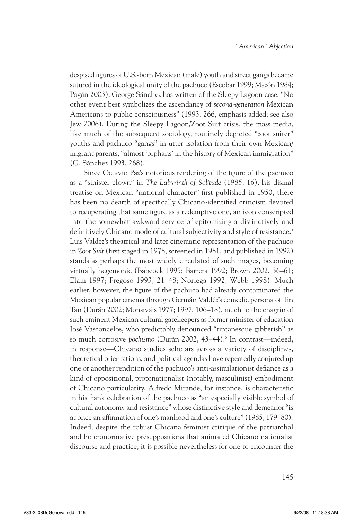despised figures of U.S.-born Mexican (male) youth and street gangs became sutured in the ideological unity of the pachuco (Escobar 1999; Mazón 1984; Pagán 2003). George Sánchez has written of the Sleepy Lagoon case, "No other event best symbolizes the ascendancy of *second-generation* Mexican Americans to public consciousness" (1993, 266, emphasis added; see also Jew 2006). During the Sleepy Lagoon/Zoot Suit crisis, the mass media, like much of the subsequent sociology, routinely depicted "zoot suiter" youths and pachuco "gangs" in utter isolation from their own Mexican/ migrant parents, "almost 'orphans' in the history of Mexican immigration" (G. Sánchez 1993, 268).4

Since Octavio Paz's notorious rendering of the figure of the pachuco as a "sinister clown" in *The Labyrinth of Solitude* (1985, 16), his dismal treatise on Mexican "national character" first published in 1950, there has been no dearth of specifically Chicano-identified criticism devoted to recuperating that same figure as a redemptive one, an icon conscripted into the somewhat awkward service of epitomizing a distinctively and definitively Chicano mode of cultural subjectivity and style of resistance.<sup>5</sup> Luis Valdez's theatrical and later cinematic representation of the pachuco in *Zoot Suit* (first staged in 1978, screened in 1981, and published in 1992) stands as perhaps the most widely circulated of such images, becoming virtually hegemonic (Babcock 1995; Barrera 1992; Brown 2002, 36–61; Elam 1997; Fregoso 1993, 21–48; Noriega 1992; Webb 1998). Much earlier, however, the figure of the pachuco had already contaminated the Mexican popular cinema through Germán Valdéz's comedic persona of Tin Tan (Durán 2002; Monsiváis 1977; 1997, 106–18), much to the chagrin of such eminent Mexican cultural gatekeepers as former minister of education José Vasconcelos, who predictably denounced "tintanesque gibberish" as so much corrosive *pochismo* (Durán 2002, 43–44).<sup>6</sup> In contrast—indeed, in response—Chicano studies scholars across a variety of disciplines, theoretical orientations, and political agendas have repeatedly conjured up one or another rendition of the pachuco's anti-assimilationist defiance as a kind of oppositional, protonationalist (notably, masculinist) embodiment of Chicano particularity. Alfredo Mirandé, for instance, is characteristic in his frank celebration of the pachuco as "an especially visible symbol of cultural autonomy and resistance" whose distinctive style and demeanor "is at once an affirmation of one's manhood and one's culture" (1985, 179–80). Indeed, despite the robust Chicana feminist critique of the patriarchal and heteronormative presuppositions that animated Chicano nationalist discourse and practice, it is possible nevertheless for one to encounter the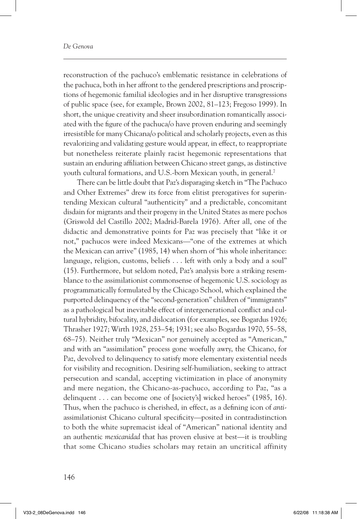reconstruction of the pachuco's emblematic resistance in celebrations of the pachuca, both in her affront to the gendered prescriptions and proscriptions of hegemonic familial ideologies and in her disruptive transgressions of public space (see, for example, Brown 2002, 81–123; Fregoso 1999). In short, the unique creativity and sheer insubordination romantically associated with the figure of the pachuca/o have proven enduring and seemingly irresistible for many Chicana/o political and scholarly projects, even as this revalorizing and validating gesture would appear, in effect, to reappropriate but nonetheless reiterate plainly racist hegemonic representations that sustain an enduring affiliation between Chicano street gangs, as distinctive youth cultural formations, and U.S.-born Mexican youth, in general.7

There can be little doubt that Paz's disparaging sketch in "The Pachuco and Other Extremes" drew its force from elitist prerogatives for superintending Mexican cultural "authenticity" and a predictable, concomitant disdain for migrants and their progeny in the United States as mere pochos (Griswold del Castillo 2002; Madrid-Barela 1976). After all, one of the didactic and demonstrative points for Paz was precisely that "like it or not," pachucos were indeed Mexicans—"one of the extremes at which the Mexican can arrive" (1985, 14) when shorn of "his whole inheritance: language, religion, customs, beliefs . . . left with only a body and a soul" (15). Furthermore, but seldom noted, Paz's analysis bore a striking resemblance to the assimilationist commonsense of hegemonic U.S. sociology as programmatically formulated by the Chicago School, which explained the purported delinquency of the "second-generation" children of "immigrants" as a pathological but inevitable effect of intergenerational conflict and cultural hybridity, bifocality, and dislocation (for examples, see Bogardus 1926; Thrasher 1927; Wirth 1928, 253–54; 1931; see also Bogardus 1970, 55–58, 68–75). Neither truly "Mexican" nor genuinely accepted as "American," and with an "assimilation" process gone woefully awry, the Chicano, for Paz, devolved to delinquency to satisfy more elementary existential needs for visibility and recognition. Desiring self-humiliation, seeking to attract persecution and scandal, accepting victimization in place of anonymity and mere negation, the Chicano-as-pachuco, according to Paz, "as a delinquent . . . can become one of [society's] wicked heroes" (1985, 16). Thus, when the pachuco is cherished, in effect, as a defining icon of *anti*assimilationist Chicano cultural specificity—posited in contradistinction to both the white supremacist ideal of "American" national identity and an authentic *mexicanidad* that has proven elusive at best—it is troubling that some Chicano studies scholars may retain an uncritical affinity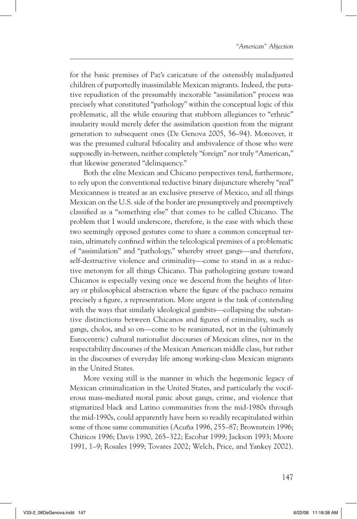for the basic premises of Paz's caricature of the ostensibly maladjusted children of purportedly inassimilable Mexican migrants. Indeed, the putative repudiation of the presumably inexorable "assimilation" process was precisely what constituted "pathology" within the conceptual logic of this problematic, all the while ensuring that stubborn allegiances to "ethnic" insularity would merely defer the assimilation question from the migrant generation to subsequent ones (De Genova 2005, 56–94). Moreover, it was the presumed cultural bifocality and ambivalence of those who were supposedly in-between, neither completely "foreign" nor truly "American," that likewise generated "delinquency."

Both the elite Mexican and Chicano perspectives tend, furthermore, to rely upon the conventional reductive binary disjuncture whereby "real" Mexicanness is treated as an exclusive preserve of Mexico, and all things Mexican on the U.S. side of the border are presumptively and preemptively classified as a "something else" that comes to be called Chicano. The problem that I would underscore, therefore, is the ease with which these two seemingly opposed gestures come to share a common conceptual terrain, ultimately confined within the teleological premises of a problematic of "assimilation" and "pathology," whereby street gangs—and therefore, self-destructive violence and criminality—come to stand in as a reductive metonym for all things Chicano. This pathologizing gesture toward Chicanos is especially vexing once we descend from the heights of literary or philosophical abstraction where the figure of the pachuco remains precisely a figure, a representation. More urgent is the task of contending with the ways that similarly ideological gambits—collapsing the substantive distinctions between Chicanos and figures of criminality, such as gangs, cholos, and so on—come to be reanimated, not in the (ultimately Eurocentric) cultural nationalist discourses of Mexican elites, nor in the respectability discourses of the Mexican American middle class, but rather in the discourses of everyday life among working-class Mexican migrants in the United States.

More vexing still is the manner in which the hegemonic legacy of Mexican criminalization in the United States, and particularly the vociferous mass-mediated moral panic about gangs, crime, and violence that stigmatized black and Latino communities from the mid-1980s through the mid-1990s, could apparently have been so readily recapitulated within some of those same communities (Acuña 1996, 255–87; Brownstein 1996; Chiricos 1996; Davis 1990, 265–322; Escobar 1999; Jackson 1993; Moore 1991, 1–9; Rosales 1999; Tovares 2002; Welch, Price, and Yankey 2002).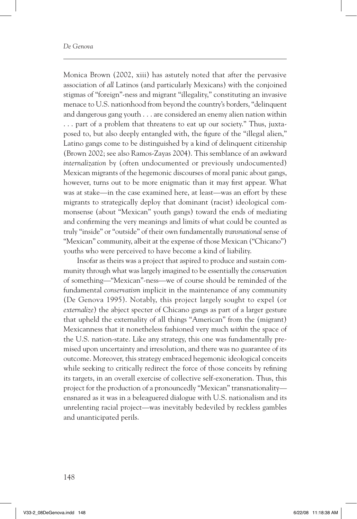Monica Brown (2002, xiii) has astutely noted that after the pervasive association of *all* Latinos (and particularly Mexicans) with the conjoined stigmas of "foreign"-ness and migrant "illegality," constituting an invasive menace to U.S. nationhood from beyond the country's borders, "delinquent and dangerous gang youth . . . are considered an enemy alien nation within . . . part of a problem that threatens to eat up our society." Thus, juxtaposed to, but also deeply entangled with, the figure of the "illegal alien," Latino gangs come to be distinguished by a kind of delinquent citizenship (Brown 2002; see also Ramos-Zayas 2004). This semblance of an awkward *internalization* by (often undocumented or previously undocumented) Mexican migrants of the hegemonic discourses of moral panic about gangs, however, turns out to be more enigmatic than it may first appear. What was at stake—in the case examined here, at least—was an effort by these migrants to strategically deploy that dominant (racist) ideological commonsense (about "Mexican" youth gangs) toward the ends of mediating and confirming the very meanings and limits of what could be counted as truly "inside" or "outside" of their own fundamentally *transnational* sense of "Mexican" community, albeit at the expense of those Mexican ("Chicano") youths who were perceived to have become a kind of liability.

Insofar as theirs was a project that aspired to produce and sustain community through what was largely imagined to be essentially the *conservation* of something—"Mexican"-ness—we of course should be reminded of the fundamental *conservatism* implicit in the maintenance of any community (De Genova 1995). Notably, this project largely sought to expel (or *externalize*) the abject specter of Chicano gangs as part of a larger gesture that upheld the externality of all things "American" from the (migrant) Mexicanness that it nonetheless fashioned very much *within* the space of the U.S. nation-state. Like any strategy, this one was fundamentally premised upon uncertainty and irresolution, and there was no guarantee of its outcome. Moreover, this strategy embraced hegemonic ideological conceits while seeking to critically redirect the force of those conceits by refining its targets, in an overall exercise of collective self-exoneration. Thus, this project for the production of a pronouncedly "Mexican" transnationality ensnared as it was in a beleaguered dialogue with U.S. nationalism and its unrelenting racial project—was inevitably bedeviled by reckless gambles and unanticipated perils.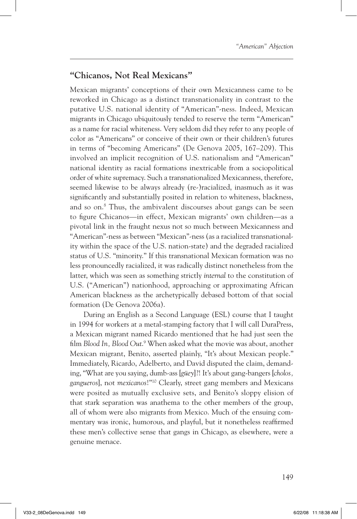### **"Chicanos, Not Real Mexicans"**

Mexican migrants' conceptions of their own Mexicanness came to be reworked in Chicago as a distinct transnationality in contrast to the putative U.S. national identity of "American"-ness. Indeed, Mexican migrants in Chicago ubiquitously tended to reserve the term "American" as a name for racial whiteness. Very seldom did they refer to any people of color as "Americans" or conceive of their own or their children's futures in terms of "becoming Americans" (De Genova 2005, 167–209). This involved an implicit recognition of U.S. nationalism and "American" national identity as racial formations inextricable from a sociopolitical order of white supremacy. Such a transnationalized Mexicanness, therefore, seemed likewise to be always already (re-)racialized, inasmuch as it was significantly and substantially posited in relation to whiteness, blackness, and so on.8 Thus, the ambivalent discourses about gangs can be seen to figure Chicanos—in effect, Mexican migrants' own children—as a pivotal link in the fraught nexus not so much between Mexicanness and "American"-ness as between "Mexican"-ness (as a racialized transnationality within the space of the U.S. nation-state) and the degraded racialized status of U.S. "minority." If this transnational Mexican formation was no less pronouncedly racialized, it was radically distinct nonetheless from the latter, which was seen as something strictly *internal* to the constitution of U.S. ("American") nationhood, approaching or approximating African American blackness as the archetypically debased bottom of that social formation (De Genova 2006a).

During an English as a Second Language (ESL) course that I taught in 1994 for workers at a metal-stamping factory that I will call DuraPress, a Mexican migrant named Ricardo mentioned that he had just seen the film *Blood In, Blood Out*. 9 When asked what the movie was about, another Mexican migrant, Benito, asserted plainly, "It's about Mexican people." Immediately, Ricardo, Adelberto, and David disputed the claim, demanding, "What are you saying, dumb-ass [*güey*]?! It's about gang-bangers [*cholos, gangueros*], not *mexicanos*!"10 Clearly, street gang members and Mexicans were posited as mutually exclusive sets, and Benito's sloppy elision of that stark separation was anathema to the other members of the group, all of whom were also migrants from Mexico. Much of the ensuing commentary was ironic, humorous, and playful, but it nonetheless reaffirmed these men's collective sense that gangs in Chicago, as elsewhere, were a genuine menace.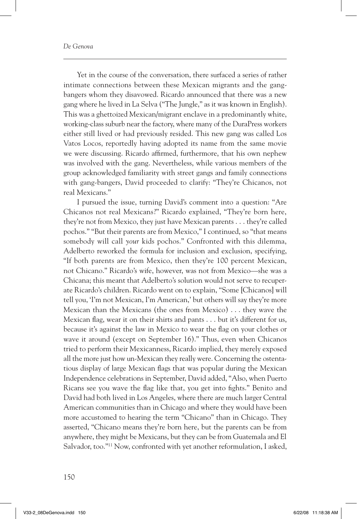Yet in the course of the conversation, there surfaced a series of rather intimate connections between these Mexican migrants and the gangbangers whom they disavowed. Ricardo announced that there was a new gang where he lived in La Selva ("The Jungle," as it was known in English). This was a ghettoized Mexican/migrant enclave in a predominantly white, working-class suburb near the factory, where many of the DuraPress workers either still lived or had previously resided. This new gang was called Los Vatos Locos, reportedly having adopted its name from the same movie we were discussing. Ricardo affirmed, furthermore, that his own nephew was involved with the gang. Nevertheless, while various members of the group acknowledged familiarity with street gangs and family connections with gang-bangers, David proceeded to clarify: "They're Chicanos, not real Mexicans."

I pursued the issue, turning David's comment into a question: "Are Chicanos not real Mexicans?" Ricardo explained, "They're born here, they're not from Mexico, they just have Mexican parents . . . they're called pochos." "But their parents are from Mexico," I continued, so "that means somebody will call *your* kids pochos." Confronted with this dilemma, Adelberto reworked the formula for inclusion and exclusion, specifying, "If both parents are from Mexico, then they're 100 percent Mexican, not Chicano." Ricardo's wife, however, was not from Mexico—she was a Chicana; this meant that Adelberto's solution would not serve to recuperate Ricardo's children. Ricardo went on to explain, "Some [Chicanos] will tell you, 'I'm not Mexican, I'm American,' but others will say they're more Mexican than the Mexicans (the ones from Mexico) . . . they wave the Mexican flag, wear it on their shirts and pants . . . but it's different for us, because it's against the law in Mexico to wear the flag on your clothes or wave it around (except on September 16)." Thus, even when Chicanos tried to perform their Mexicanness, Ricardo implied, they merely exposed all the more just how un-Mexican they really were. Concerning the ostentatious display of large Mexican flags that was popular during the Mexican Independence celebrations in September, David added, "Also, when Puerto Ricans see you wave the flag like that, you get into fights." Benito and David had both lived in Los Angeles, where there are much larger Central American communities than in Chicago and where they would have been more accustomed to hearing the term "Chicano" than in Chicago. They asserted, "Chicano means they're born here, but the parents can be from anywhere, they might be Mexicans, but they can be from Guatemala and El Salvador, too."11 Now, confronted with yet another reformulation, I asked,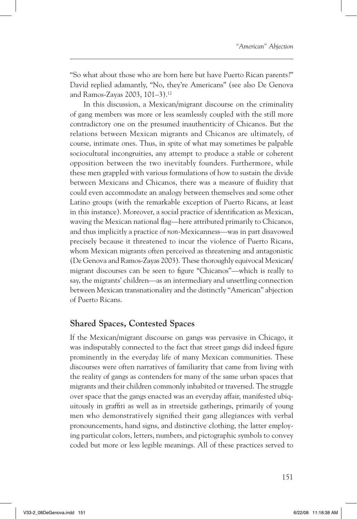"So what about those who are born here but have Puerto Rican parents?" David replied adamantly, "No, they're Americans" (see also De Genova and Ramos-Zayas 2003, 101–3).12

In this discussion, a Mexican/migrant discourse on the criminality of gang members was more or less seamlessly coupled with the still more contradictory one on the presumed inauthenticity of Chicanos. But the relations between Mexican migrants and Chicanos are ultimately, of course, intimate ones. Thus, in spite of what may sometimes be palpable sociocultural incongruities, any attempt to produce a stable or coherent opposition between the two inevitably founders. Furthermore, while these men grappled with various formulations of how to sustain the divide between Mexicans and Chicanos, there was a measure of fluidity that could even accommodate an analogy between themselves and some other Latino groups (with the remarkable exception of Puerto Ricans, at least in this instance). Moreover, a social practice of identification as Mexican, waving the Mexican national flag—here attributed primarily to Chicanos, and thus implicitly a practice of *non*-Mexicanness—was in part disavowed precisely because it threatened to incur the violence of Puerto Ricans, whom Mexican migrants often perceived as threatening and antagonistic (De Genova and Ramos-Zayas 2003). These thoroughly equivocal Mexican/ migrant discourses can be seen to figure "Chicanos"—which is really to say, the migrants' children—as an intermediary and unsettling connection between Mexican transnationality and the distinctly "American" abjection of Puerto Ricans.

### **Shared Spaces, Contested Spaces**

If the Mexican/migrant discourse on gangs was pervasive in Chicago, it was indisputably connected to the fact that street gangs did indeed figure prominently in the everyday life of many Mexican communities. These discourses were often narratives of familiarity that came from living with the reality of gangs as contenders for many of the same urban spaces that migrants and their children commonly inhabited or traversed. The struggle over space that the gangs enacted was an everyday affair, manifested ubiquitously in graffiti as well as in streetside gatherings, primarily of young men who demonstratively signified their gang allegiances with verbal pronouncements, hand signs, and distinctive clothing, the latter employing particular colors, letters, numbers, and pictographic symbols to convey coded but more or less legible meanings. All of these practices served to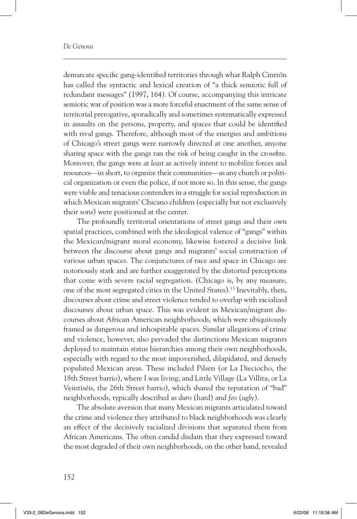demarcate specific gang-identified territories through what Ralph Cintrón has called the syntactic and lexical creation of "a thick semiotic full of redundant messages" (1997, 164). Of course, accompanying this intricate semiotic war of position was a more forceful enactment of the same sense of territorial prerogative, sporadically and sometimes systematically expressed in assaults on the persons, property, and spaces that could be identified with rival gangs. Therefore, although most of the energies and ambitions of Chicago's street gangs were narrowly directed at one another, anyone sharing space with the gangs ran the risk of being caught in the crossfire. Moreover, the gangs were *at least* as actively intent to mobilize forces and resources—in short, to organize their communities—as any church or political organization or even the police, if not more so. In this sense, the gangs were viable and tenacious contenders in a struggle for social reproduction in which Mexican migrants' Chicano children (especially but not exclusively their sons) were positioned at the center.

The profoundly territorial orientations of street gangs and their own spatial practices, combined with the ideological valence of "gangs" within the Mexican/migrant moral economy, likewise fostered a decisive link between the discourse about gangs and migrants' social construction of various urban spaces. The conjunctures of race and space in Chicago are notoriously stark and are further exaggerated by the distorted perceptions that come with severe racial segregation. (Chicago is, by any measure, one of the most segregated cities in the United States).13 Inevitably, then, discourses about crime and street violence tended to overlap with racialized discourses about urban space. This was evident in Mexican/migrant discourses about African American neighborhoods, which were ubiquitously framed as dangerous and inhospitable spaces. Similar allegations of crime and violence, however, also pervaded the distinctions Mexican migrants deployed to maintain status hierarchies among their own neighborhoods, especially with regard to the most impoverished, dilapidated, and densely populated Mexican areas. These included Pilsen (or La Dieciocho, the 18th Street barrio), where I was living, and Little Village (La Villita, or La Veintiséis, the 26th Street barrio), which shared the reputation of "bad" neighborhoods, typically described as *duro* (hard) and *feo* (ugly).

The absolute aversion that many Mexican migrants articulated toward the crime and violence they attributed to black neighborhoods was clearly an effect of the decisively racialized divisions that separated them from African Americans. The often candid disdain that they expressed toward the most degraded of their own neighborhoods, on the other hand, revealed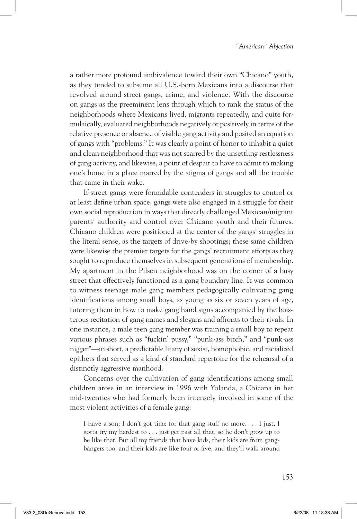a rather more profound ambivalence toward their own "Chicano" youth, as they tended to subsume all U.S.-born Mexicans into a discourse that revolved around street gangs, crime, and violence. With the discourse on gangs as the preeminent lens through which to rank the status of the neighborhoods where Mexicans lived, migrants repeatedly, and quite formulaically, evaluated neighborhoods negatively or positively in terms of the relative presence or absence of visible gang activity and posited an equation of gangs with "problems." It was clearly a point of honor to inhabit a quiet and clean neighborhood that was not scarred by the unsettling restlessness of gang activity, and likewise, a point of despair to have to admit to making one's home in a place marred by the stigma of gangs and all the trouble that came in their wake.

If street gangs were formidable contenders in struggles to control or at least define urban space, gangs were also engaged in a struggle for their own social reproduction in ways that directly challenged Mexican/migrant parents' authority and control over Chicano youth and their futures. Chicano children were positioned at the center of the gangs' struggles in the literal sense, as the targets of drive-by shootings; these same children were likewise the premier targets for the gangs' recruitment efforts as they sought to reproduce themselves in subsequent generations of membership. My apartment in the Pilsen neighborhood was on the corner of a busy street that effectively functioned as a gang boundary line. It was common to witness teenage male gang members pedagogically cultivating gang identifications among small boys, as young as six or seven years of age, tutoring them in how to make gang hand signs accompanied by the boisterous recitation of gang names and slogans and affronts to their rivals. In one instance, a male teen gang member was training a small boy to repeat various phrases such as "fuckin' pussy," "punk-ass bitch," and "punk-ass nigger"—in short, a predictable litany of sexist, homophobic, and racialized epithets that served as a kind of standard repertoire for the rehearsal of a distinctly aggressive manhood.

Concerns over the cultivation of gang identifications among small children arose in an interview in 1996 with Yolanda, a Chicana in her mid-twenties who had formerly been intensely involved in some of the most violent activities of a female gang:

I have a son; I don't got time for that gang stuff no more. . . . I just, I gotta try my hardest to . . . just get past all that, so he don't grow up to be like that. But all my friends that have kids, their kids are from gangbangers too, and their kids are like four or five, and they'll walk around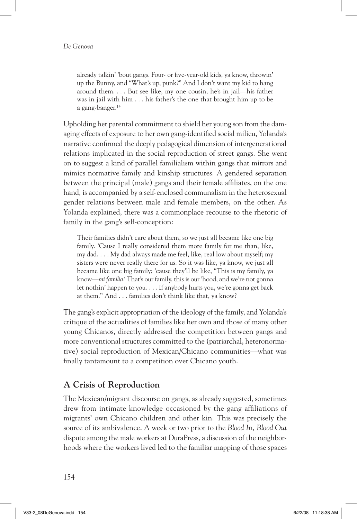already talkin' 'bout gangs. Four- or five-year-old kids, ya know, throwin' up the Bunny, and "What's up, punk?" And I don't want my kid to hang around them. . . . But see like, my one cousin, he's in jail—his father was in jail with him . . . his father's the one that brought him up to be a gang-banger.14

Upholding her parental commitment to shield her young son from the damaging effects of exposure to her own gang-identified social milieu, Yolanda's narrative confirmed the deeply pedagogical dimension of intergenerational relations implicated in the social reproduction of street gangs. She went on to suggest a kind of parallel familialism within gangs that mirrors and mimics normative family and kinship structures. A gendered separation between the principal (male) gangs and their female affiliates, on the one hand, is accompanied by a self-enclosed communalism in the heterosexual gender relations between male and female members, on the other. As Yolanda explained, there was a commonplace recourse to the rhetoric of family in the gang's self-conception:

Their families didn't care about them, so we just all became like one big family. 'Cause I really considered them more family for me than, like, my dad. . . . My dad always made me feel, like, real low about myself; my sisters were never really there for us. So it was like, ya know, we just all became like one big family; 'cause they'll be like, "This is my family, ya know—*mi familia!* That's our family, this is our 'hood, and we're not gonna let nothin' happen to you. . . . If anybody hurts you, we're gonna get back at them." And . . . families don't think like that, ya know?

The gang's explicit appropriation of the ideology of the family, and Yolanda's critique of the actualities of families like her own and those of many other young Chicanos, directly addressed the competition between gangs and more conventional structures committed to the (patriarchal, heteronormative) social reproduction of Mexican/Chicano communities—what was finally tantamount to a competition over Chicano youth.

### **A Crisis of Reproduction**

The Mexican/migrant discourse on gangs, as already suggested, sometimes drew from intimate knowledge occasioned by the gang affiliations of migrants' own Chicano children and other kin. This was precisely the source of its ambivalence. A week or two prior to the *Blood In, Blood Out* dispute among the male workers at DuraPress, a discussion of the neighborhoods where the workers lived led to the familiar mapping of those spaces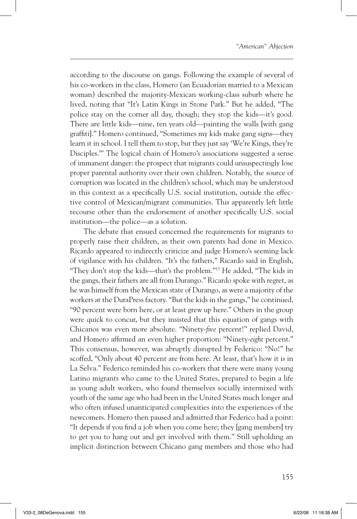according to the discourse on gangs. Following the example of several of his co-workers in the class, Homero (an Ecuadorian married to a Mexican woman) described the majority-Mexican working-class suburb where he lived, noting that "It's Latin Kings in Stone Park." But he added, "The police stay on the corner all day, though; they stop the kids—it's good. There are little kids—nine, ten years old—painting the walls [with gang graffiti]." Homero continued, "Sometimes my kids make gang signs—they learn it in school. I tell them to stop, but they just say 'We're Kings, they're Disciples.'" The logical chain of Homero's associations suggested a sense of immanent danger: the prospect that migrants could unsuspectingly lose proper parental authority over their own children. Notably, the source of corruption was located in the children's school, which may be understood in this context as a specifically U.S. social institution, outside the effective control of Mexican/migrant communities. This apparently left little recourse other than the endorsement of another specifically U.S. social institution—the police—as a solution.

The debate that ensued concerned the requirements for migrants to properly raise their children, as their own parents had done in Mexico. Ricardo appeared to indirectly criticize and judge Homero's seeming lack of vigilance with his children. "It's the fathers," Ricardo said in English, "They don't stop the kids—that's the problem."15 He added, "The kids in the gangs, their fathers are all from Durango." Ricardo spoke with regret, as he was himself from the Mexican state of Durango, as were a majority of the workers at the DuraPress factory. "But the kids in the gangs," he continued, "90 percent were born here, or at least grew up here." Others in the group were quick to concur, but they insisted that this equation of gangs with Chicanos was even more absolute. "Ninety-*five* percent!" replied David, and Homero affirmed an even higher proportion: "Ninety-*eight* percent." This consensus, however, was abruptly disrupted by Federico: "No!" he scoffed, "Only about 40 percent are from here. At least, that's how it is in La Selva." Federico reminded his co-workers that there were many young Latino migrants who came to the United States, prepared to begin a life as young adult workers, who found themselves socially intermixed with youth of the same age who had been in the United States much longer and who often infused unanticipated complexities into the experiences of the newcomers. Homero then paused and admitted that Federico had a point: "It depends if you find a job when you come here; they [gang members] try to get you to hang out and get involved with them." Still upholding an implicit distinction between Chicano gang members and those who had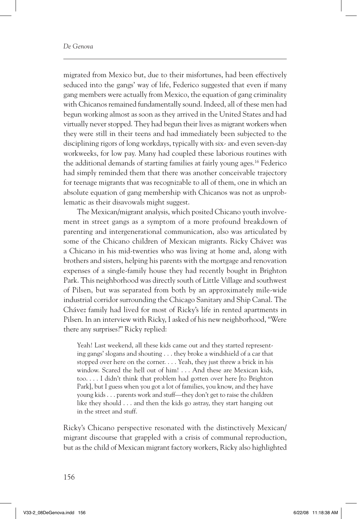migrated from Mexico but, due to their misfortunes, had been effectively seduced into the gangs' way of life, Federico suggested that even if many gang members were actually from Mexico, the equation of gang criminality with Chicanos remained fundamentally sound. Indeed, all of these men had begun working almost as soon as they arrived in the United States and had virtually never stopped. They had begun their lives as migrant workers when they were still in their teens and had immediately been subjected to the disciplining rigors of long workdays, typically with six- and even seven-day workweeks, for low pay. Many had coupled these laborious routines with the additional demands of starting families at fairly young ages.16 Federico had simply reminded them that there was another conceivable trajectory for teenage migrants that was recognizable to all of them, one in which an absolute equation of gang membership with Chicanos was not as unproblematic as their disavowals might suggest.

The Mexican/migrant analysis, which posited Chicano youth involvement in street gangs as a symptom of a more profound breakdown of parenting and intergenerational communication, also was articulated by some of the Chicano children of Mexican migrants. Ricky Chávez was a Chicano in his mid-twenties who was living at home and, along with brothers and sisters, helping his parents with the mortgage and renovation expenses of a single-family house they had recently bought in Brighton Park. This neighborhood was directly south of Little Village and southwest of Pilsen, but was separated from both by an approximately mile-wide industrial corridor surrounding the Chicago Sanitary and Ship Canal. The Chávez family had lived for most of Ricky's life in rented apartments in Pilsen. In an interview with Ricky, I asked of his new neighborhood, "Were there any surprises?" Ricky replied:

Yeah! Last weekend, all these kids came out and they started representing gangs' slogans and shouting . . . they broke a windshield of a car that stopped over here on the corner. . . . Yeah, they just threw a brick in his window. Scared the hell out of him! . . . And these are Mexican kids, too. . . . I didn't think that problem had gotten over here [to Brighton Park], but I guess when you got a lot of families, you know, and they have young kids . . . parents work and stuff—they don't get to raise the children like they should . . . and then the kids go astray, they start hanging out in the street and stuff.

Ricky's Chicano perspective resonated with the distinctively Mexican/ migrant discourse that grappled with a crisis of communal reproduction, but as the child of Mexican migrant factory workers, Ricky also highlighted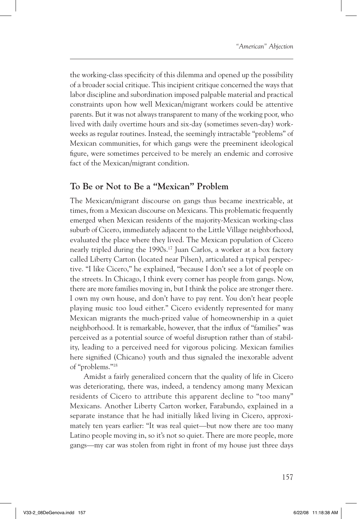the working-class specificity of this dilemma and opened up the possibility of a broader social critique. This incipient critique concerned the ways that labor discipline and subordination imposed palpable material and practical constraints upon how well Mexican/migrant workers could be attentive parents. But it was not always transparent to many of the working poor, who lived with daily overtime hours and six-day (sometimes seven-day) workweeks as regular routines. Instead, the seemingly intractable "problems" of Mexican communities, for which gangs were the preeminent ideological figure, were sometimes perceived to be merely an endemic and corrosive fact of the Mexican/migrant condition.

### **To Be or Not to Be a "Mexican" Problem**

The Mexican/migrant discourse on gangs thus became inextricable, at times, from a Mexican discourse on Mexicans. This problematic frequently emerged when Mexican residents of the majority-Mexican working-class suburb of Cicero, immediately adjacent to the Little Village neighborhood, evaluated the place where they lived. The Mexican population of Cicero nearly tripled during the 1990s.<sup>17</sup> Juan Carlos, a worker at a box factory called Liberty Carton (located near Pilsen), articulated a typical perspective. "I like Cicero," he explained, "because I don't see a lot of people on the streets. In Chicago, I think every corner has people from gangs. Now, there are more families moving in, but I think the police are stronger there. I own my own house, and don't have to pay rent. You don't hear people playing music too loud either." Cicero evidently represented for many Mexican migrants the much-prized value of homeownership in a quiet neighborhood. It is remarkable, however, that the influx of "families" was perceived as a potential source of woeful disruption rather than of stability, leading to a perceived need for vigorous policing. Mexican families here signified (Chicano) youth and thus signaled the inexorable advent of "problems."18

Amidst a fairly generalized concern that the quality of life in Cicero was deteriorating, there was, indeed, a tendency among many Mexican residents of Cicero to attribute this apparent decline to "too many" Mexicans. Another Liberty Carton worker, Farabundo, explained in a separate instance that he had initially liked living in Cicero, approximately ten years earlier: "It was real quiet—but now there are too many Latino people moving in, so it's not so quiet. There are more people, more gangs—my car was stolen from right in front of my house just three days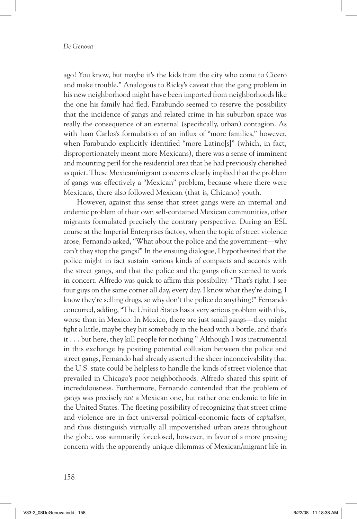ago! You know, but maybe it's the kids from the city who come to Cicero and make trouble." Analogous to Ricky's caveat that the gang problem in his new neighborhood might have been imported from neighborhoods like the one his family had fled, Farabundo seemed to reserve the possibility that the incidence of gangs and related crime in his suburban space was really the consequence of an external (specifically, urban) contagion. As with Juan Carlos's formulation of an influx of "more families," however, when Farabundo explicitly identified "more Latino[s]" (which, in fact, disproportionately meant more Mexicans), there was a sense of imminent and mounting peril for the residential area that he had previously cherished as quiet. These Mexican/migrant concerns clearly implied that the problem of gangs was effectively a "Mexican" problem, because where there were Mexicans, there also followed Mexican (that is, Chicano) youth.

However, against this sense that street gangs were an internal and endemic problem of their own self-contained Mexican communities, other migrants formulated precisely the contrary perspective. During an ESL course at the Imperial Enterprises factory, when the topic of street violence arose, Fernando asked, "What about the police and the government—why can't they stop the gangs?" In the ensuing dialogue, I hypothesized that the police might in fact sustain various kinds of compacts and accords with the street gangs, and that the police and the gangs often seemed to work in concert. Alfredo was quick to affirm this possibility: "That's right. I see four guys on the same corner all day, every day. I know what they're doing, I know they're selling drugs, so why don't the police do anything?" Fernando concurred, adding, "The United States has a very serious problem with this, worse than in Mexico. In Mexico, there are just small gangs—they might fight a little, maybe they hit somebody in the head with a bottle, and that's it . . . but here, they kill people for nothing." Although I was instrumental in this exchange by positing potential collusion between the police and street gangs, Fernando had already asserted the sheer inconceivability that the U.S. state could be helpless to handle the kinds of street violence that prevailed in Chicago's poor neighborhoods. Alfredo shared this spirit of incredulousness. Furthermore, Fernando contended that the problem of gangs was precisely *not* a Mexican one, but rather one endemic to life in the United States. The fleeting possibility of recognizing that street crime and violence are in fact universal political-economic facts of *capitalism*, and thus distinguish virtually all impoverished urban areas throughout the globe, was summarily foreclosed, however, in favor of a more pressing concern with the apparently unique dilemmas of Mexican/migrant life in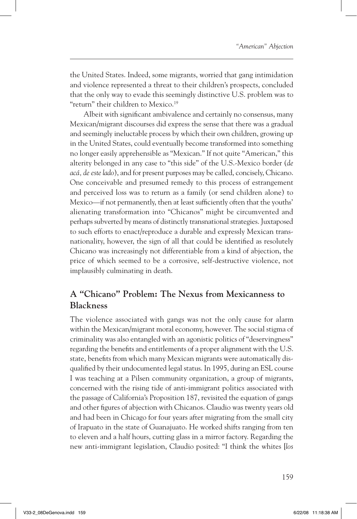the United States. Indeed, some migrants, worried that gang intimidation and violence represented a threat to their children's prospects, concluded that the only way to evade this seemingly distinctive U.S. problem was to "return" their children to Mexico.<sup>19</sup>

Albeit with significant ambivalence and certainly no consensus, many Mexican/migrant discourses did express the sense that there was a gradual and seemingly ineluctable process by which their own children, growing up in the United States, could eventually become transformed into something no longer easily apprehensible as "Mexican." If not quite "American," this alterity belonged in any case to "this side" of the U.S.-Mexico border (*de acá, de este lado*), and for present purposes may be called, concisely, Chicano. One conceivable and presumed remedy to this process of estrangement and perceived loss was to return as a family (or send children alone) to Mexico—if not permanently, then at least sufficiently often that the youths' alienating transformation into "Chicanos" might be circumvented and perhaps subverted by means of distinctly transnational strategies. Juxtaposed to such efforts to enact/reproduce a durable and expressly Mexican transnationality, however, the sign of all that could be identified as resolutely Chicano was increasingly not differentiable from a kind of abjection, the price of which seemed to be a corrosive, self-destructive violence, not implausibly culminating in death.

# **A "Chicano" Problem: The Nexus from Mexicanness to Blackness**

The violence associated with gangs was not the only cause for alarm within the Mexican/migrant moral economy, however. The social stigma of criminality was also entangled with an agonistic politics of "deservingness" regarding the benefits and entitlements of a proper alignment with the U.S. state, benefits from which many Mexican migrants were automatically disqualified by their undocumented legal status. In 1995, during an ESL course I was teaching at a Pilsen community organization, a group of migrants, concerned with the rising tide of anti-immigrant politics associated with the passage of California's Proposition 187, revisited the equation of gangs and other figures of abjection with Chicanos. Claudio was twenty years old and had been in Chicago for four years after migrating from the small city of Irapuato in the state of Guanajuato. He worked shifts ranging from ten to eleven and a half hours, cutting glass in a mirror factory. Regarding the new anti-immigrant legislation, Claudio posited: "I think the whites [*los*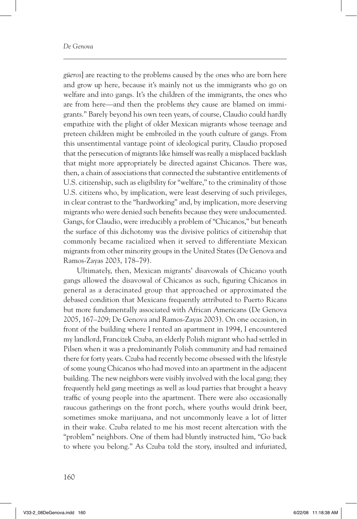*güeros*] are reacting to the problems caused by the ones who are born here and grow up here, because it's mainly not us the immigrants who go on welfare and into gangs. It's the children of the immigrants, the ones who are from here—and then the problems *they* cause are blamed on immigrants." Barely beyond his own teen years, of course, Claudio could hardly empathize with the plight of older Mexican migrants whose teenage and preteen children might be embroiled in the youth culture of gangs. From this unsentimental vantage point of ideological purity, Claudio proposed that the persecution of migrants like himself was really a misplaced backlash that might more appropriately be directed against Chicanos. There was, then, a chain of associations that connected the substantive entitlements of U.S. citizenship, such as eligibility for "welfare," to the criminality of those U.S. citizens who, by implication, were least deserving of such privileges, in clear contrast to the "hardworking" and, by implication, more deserving migrants who were denied such benefits because they were undocumented. Gangs, for Claudio, were irreducibly a problem of "Chicanos," but beneath the surface of this dichotomy was the divisive politics of citizenship that commonly became racialized when it served to differentiate Mexican migrants from other minority groups in the United States (De Genova and Ramos-Zayas 2003, 178–79).

Ultimately, then, Mexican migrants' disavowals of Chicano youth gangs allowed the disavowal of Chicanos as such, figuring Chicanos in general as a deracinated group that approached or approximated the debased condition that Mexicans frequently attributed to Puerto Ricans but more fundamentally associated with African Americans (De Genova 2005, 167–209; De Genova and Ramos-Zayas 2003). On one occasion, in front of the building where I rented an apartment in 1994, I encountered my landlord, Francizek Czuba, an elderly Polish migrant who had settled in Pilsen when it was a predominantly Polish community and had remained there for forty years. Czuba had recently become obsessed with the lifestyle of some young Chicanos who had moved into an apartment in the adjacent building. The new neighbors were visibly involved with the local gang; they frequently held gang meetings as well as loud parties that brought a heavy traffic of young people into the apartment. There were also occasionally raucous gatherings on the front porch, where youths would drink beer, sometimes smoke marijuana, and not uncommonly leave a lot of litter in their wake. Czuba related to me his most recent altercation with the "problem" neighbors. One of them had bluntly instructed him, "Go back to where you belong." As Czuba told the story, insulted and infuriated,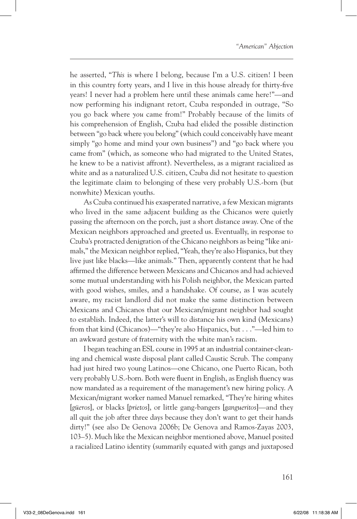he asserted, "*This* is where I belong, because I'm a U.S. citizen! I been in this country forty years, and I live in this house already for thirty-five years! I never had a problem here until these animals came here!"—and now performing his indignant retort, Czuba responded in outrage, "So you go back where *you* came from!" Probably because of the limits of his comprehension of English, Czuba had elided the possible distinction between "go back where you belong" (which could conceivably have meant simply "go home and mind your own business") and "go back where you came from" (which, as someone who had migrated to the United States, he knew to be a nativist affront). Nevertheless, as a migrant racialized as white and as a naturalized U.S. citizen, Czuba did not hesitate to question the legitimate claim to belonging of these very probably U.S.-born (but nonwhite) Mexican youths.

As Czuba continued his exasperated narrative, a few Mexican migrants who lived in the same adjacent building as the Chicanos were quietly passing the afternoon on the porch, just a short distance away. One of the Mexican neighbors approached and greeted us. Eventually, in response to Czuba's protracted denigration of the Chicano neighbors as being "like animals," the Mexican neighbor replied, "Yeah, they're also Hispanics, but they live just like blacks—like animals." Then, apparently content that he had affirmed the difference between Mexicans and Chicanos and had achieved some mutual understanding with his Polish neighbor, the Mexican parted with good wishes, smiles, and a handshake. Of course, as I was acutely aware, my racist landlord did not make the same distinction between Mexicans and Chicanos that our Mexican/migrant neighbor had sought to establish. Indeed, the latter's will to distance his own kind (Mexicans) from that kind (Chicanos)—"they're also Hispanics, but . . ."—led him to an awkward gesture of fraternity with the white man's racism.

I began teaching an ESL course in 1995 at an industrial container-cleaning and chemical waste disposal plant called Caustic Scrub. The company had just hired two young Latinos—one Chicano, one Puerto Rican, both very probably U.S.-born. Both were fluent in English, as English fluency was now mandated as a requirement of the management's new hiring policy. A Mexican/migrant worker named Manuel remarked, "They're hiring whites [*güeros*], or blacks [*prietos*], or little gang-bangers [*gangueritos*]—and they all quit the job after three days because they don't want to get their hands dirty!" (see also De Genova 2006b; De Genova and Ramos-Zayas 2003, 103–5). Much like the Mexican neighbor mentioned above, Manuel posited a racialized Latino identity (summarily equated with gangs and juxtaposed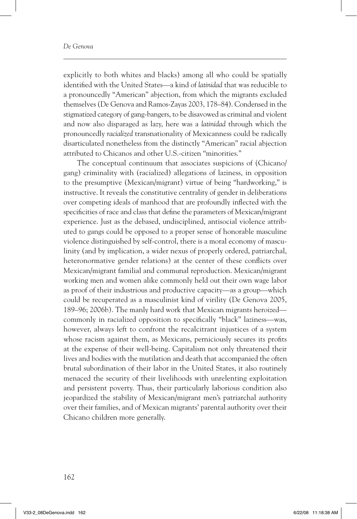#### *De Genova*

explicitly to both whites and blacks) among all who could be spatially identified with the United States—a kind of *latinidad* that was reducible to a pronouncedly "American" abjection, from which the migrants excluded themselves (De Genova and Ramos-Zayas 2003, 178–84). Condensed in the stigmatized category of gang-bangers, to be disavowed as criminal and violent and now also disparaged as lazy, here was a *latinidad* through which the pronouncedly *racialized* transnationality of Mexicanness could be radically disarticulated nonetheless from the distinctly "American" racial abjection attributed to Chicanos and other U.S.-citizen "minorities."

The conceptual continuum that associates suspicions of (Chicano/ gang) criminality with (racialized) allegations of laziness, in opposition to the presumptive (Mexican/migrant) virtue of being "hardworking," is instructive. It reveals the constitutive centrality of gender in deliberations over competing ideals of manhood that are profoundly inflected with the specificities of race and class that define the parameters of Mexican/migrant experience. Just as the debased, undisciplined, antisocial violence attributed to gangs could be opposed to a proper sense of honorable masculine violence distinguished by self-control, there is a moral economy of masculinity (and by implication, a wider nexus of properly ordered, patriarchal, heteronormative gender relations) at the center of these conflicts over Mexican/migrant familial and communal reproduction. Mexican/migrant working men and women alike commonly held out their own wage labor as proof of their industrious and productive capacity—as a group—which could be recuperated as a masculinist kind of virility (De Genova 2005, 189–96; 2006b). The manly hard work that Mexican migrants heroized commonly in racialized opposition to specifically "black" laziness—was, however, always left to confront the recalcitrant injustices of a system whose racism against them, as Mexicans, perniciously secures its profits at the expense of their well-being. Capitalism not only threatened their lives and bodies with the mutilation and death that accompanied the often brutal subordination of their labor in the United States, it also routinely menaced the security of their livelihoods with unrelenting exploitation and persistent poverty. Thus, their particularly laborious condition also jeopardized the stability of Mexican/migrant men's patriarchal authority over their families, and of Mexican migrants' parental authority over their Chicano children more generally.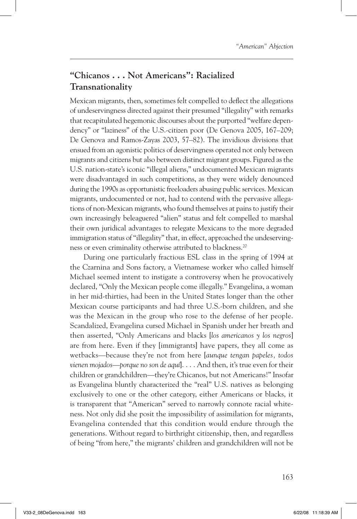## **"Chicanos . . . Not Americans": Racialized Transnationality**

Mexican migrants, then, sometimes felt compelled to deflect the allegations of undeservingness directed against their presumed "illegality" with remarks that recapitulated hegemonic discourses about the purported "welfare dependency" or "laziness" of the U.S.-citizen poor (De Genova 2005, 167–209; De Genova and Ramos-Zayas 2003, 57–82). The invidious divisions that ensued from an agonistic politics of deservingness operated not only between migrants and citizens but also between distinct migrant groups. Figured as the U.S. nation-state's iconic "illegal aliens," undocumented Mexican migrants were disadvantaged in such competitions, as they were widely denounced during the 1990s as opportunistic freeloaders abusing public services. Mexican migrants, undocumented or not, had to contend with the pervasive allegations of non-Mexican migrants, who found themselves at pains to justify their own increasingly beleaguered "alien" status and felt compelled to marshal their own juridical advantages to relegate Mexicans to the more degraded immigration status of "illegality" that, in effect, approached the undeservingness or even criminality otherwise attributed to blackness.20

During one particularly fractious ESL class in the spring of 1994 at the Czarnina and Sons factory, a Vietnamese worker who called himself Michael seemed intent to instigate a controversy when he provocatively declared, "Only the Mexican people come illegally." Evangelina, a woman in her mid-thirties, had been in the United States longer than the other Mexican course participants and had three U.S.-born children, and she was the Mexican in the group who rose to the defense of her people. Scandalized, Evangelina cursed Michael in Spanish under her breath and then asserted, "Only Americans and blacks [*los americanos y los negros*] are from here. Even if they [immigrants] have papers, they all come as wetbacks—because they're not from here [*aunque tengan papeles, todos vienen mojados—porque no son de aquí*]. . . . And then, it's true even for their children or grandchildren—they're Chicanos, but not Americans!" Insofar as Evangelina bluntly characterized the "real" U.S. natives as belonging exclusively to one or the other category, either Americans or blacks, it is transparent that "American" served to narrowly connote racial whiteness. Not only did she posit the impossibility of assimilation for migrants, Evangelina contended that this condition would endure through the generations. Without regard to birthright citizenship, then, and regardless of being "from here," the migrants' children and grandchildren will not be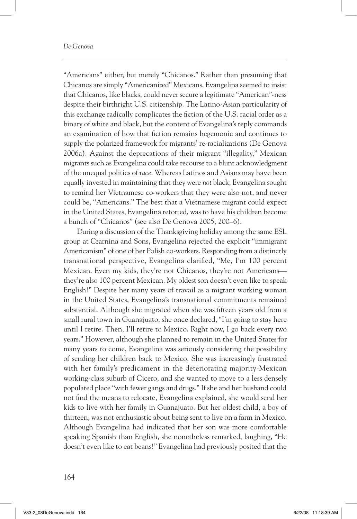"Americans" either, but merely "Chicanos." Rather than presuming that Chicanos are simply "Americanized" Mexicans, Evangelina seemed to insist that Chicanos, like blacks, could never secure a legitimate "American"-ness despite their birthright U.S. citizenship. The Latino-Asian particularity of this exchange radically complicates the fiction of the U.S. racial order as a binary of white and black, but the content of Evangelina's reply commands an examination of how that fiction remains hegemonic and continues to supply the polarized framework for migrants' re-racializations (De Genova 2006a). Against the deprecations of their migrant "illegality," Mexican migrants such as Evangelina could take recourse to a blunt acknowledgment of the unequal politics of *race*. Whereas Latinos and Asians may have been equally invested in maintaining that they were *not* black, Evangelina sought to remind her Vietnamese co-workers that they were also not, and never could be, "Americans." The best that a Vietnamese migrant could expect in the United States, Evangelina retorted, was to have his children become a bunch of "Chicanos" (see also De Genova 2005, 200–6).

During a discussion of the Thanksgiving holiday among the same ESL group at Czarnina and Sons, Evangelina rejected the explicit "immigrant Americanism" of one of her Polish co-workers. Responding from a distinctly transnational perspective, Evangelina clarified, "Me, I'm 100 percent Mexican. Even my kids, they're not Chicanos, they're not Americans they're also 100 percent Mexican. My oldest son doesn't even like to speak English!" Despite her many years of travail as a migrant working woman in the United States, Evangelina's transnational commitments remained substantial. Although she migrated when she was fifteen years old from a small rural town in Guanajuato, she once declared, "I'm going to stay here until I retire. Then, I'll retire to Mexico. Right now, I go back every two years." However, although she planned to remain in the United States for many years to come, Evangelina was seriously considering the possibility of sending her children back to Mexico. She was increasingly frustrated with her family's predicament in the deteriorating majority-Mexican working-class suburb of Cicero, and she wanted to move to a less densely populated place "with fewer gangs and drugs." If she and her husband could not find the means to relocate, Evangelina explained, she would send her kids to live with her family in Guanajuato. But her oldest child, a boy of thirteen, was not enthusiastic about being sent to live on a farm in Mexico. Although Evangelina had indicated that her son was more comfortable speaking Spanish than English, she nonetheless remarked, laughing, "He doesn't even like to eat beans!" Evangelina had previously posited that the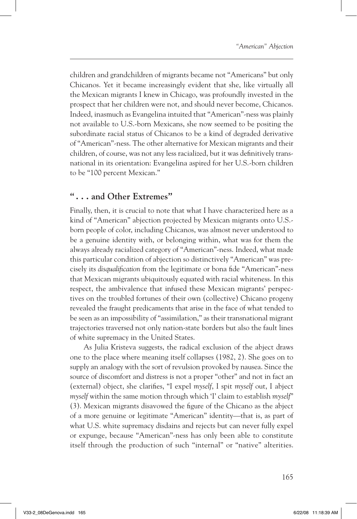children and grandchildren of migrants became not "Americans" but only Chicanos. Yet it became increasingly evident that she, like virtually all the Mexican migrants I knew in Chicago, was profoundly invested in the prospect that her children were not, and should never become, Chicanos. Indeed, inasmuch as Evangelina intuited that "American"-ness was plainly not available to U.S.-born Mexicans, she now seemed to be positing the subordinate racial status of Chicanos to be a kind of degraded derivative of "American"-ness. The other alternative for Mexican migrants and their children, of course, was not any less racialized, but it was definitively transnational in its orientation: Evangelina aspired for her U.S.-born children to be "100 percent Mexican."

### **" . . . and Other Extremes"**

Finally, then, it is crucial to note that what I have characterized here as a kind of "American" abjection projected by Mexican migrants onto U.S. born people of color, including Chicanos, was almost never understood to be a genuine identity with, or belonging within, what was for them the always already racialized category of "American"-ness. Indeed, what made this particular condition of abjection so distinctively "American" was precisely its *disqualification* from the legitimate or bona fide "American"-ness that Mexican migrants ubiquitously equated with racial whiteness. In this respect, the ambivalence that infused these Mexican migrants' perspectives on the troubled fortunes of their own (collective) Chicano progeny revealed the fraught predicaments that arise in the face of what tended to be seen as an impossibility of "assimilation," as their transnational migrant trajectories traversed not only nation-state borders but also the fault lines of white supremacy in the United States.

As Julia Kristeva suggests, the radical exclusion of the abject draws one to the place where meaning itself collapses (1982, 2). She goes on to supply an analogy with the sort of revulsion provoked by nausea. Since the source of discomfort and distress is not a proper "other" and not in fact an (external) object, she clarifies, "I expel *myself*, I spit *myself* out, I abject *myself* within the same motion through which 'I' claim to establish *myself*" (3). Mexican migrants disavowed the figure of the Chicano as the abject of a more genuine or legitimate "American" identity—that is, as part of what U.S. white supremacy disdains and rejects but can never fully expel or expunge, because "American"-ness has only been able to constitute itself through the production of such "internal" or "native" alterities.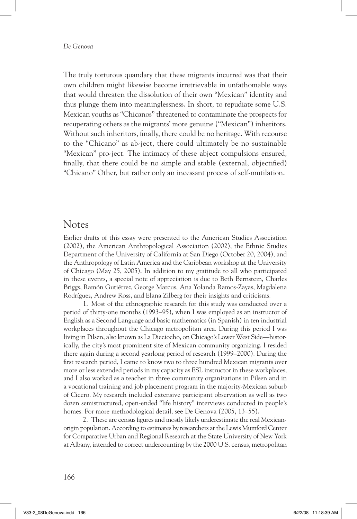The truly torturous quandary that these migrants incurred was that their own children might likewise become irretrievable in unfathomable ways that would threaten the dissolution of their own "Mexican" identity and thus plunge them into meaninglessness. In short, to repudiate some U.S. Mexican youths as "Chicanos" threatened to contaminate the prospects for recuperating others as the migrants' more genuine ("Mexican") inheritors. Without such inheritors, finally, there could be no heritage. With recourse to the "Chicano" as ab-ject, there could ultimately be no sustainable "Mexican" pro-ject. The intimacy of these abject compulsions ensured, finally, that there could be no simple and stable (external, objectified) "Chicano" Other, but rather only an incessant process of self-mutilation.

#### Notes

Earlier drafts of this essay were presented to the American Studies Association (2002), the American Anthropological Association (2002), the Ethnic Studies Department of the University of California at San Diego (October 20, 2004), and the Anthropology of Latin America and the Caribbean workshop at the University of Chicago (May 25, 2005). In addition to my gratitude to all who participated in these events, a special note of appreciation is due to Beth Bernstein, Charles Briggs, Ramón Gutiérrez, George Marcus, Ana Yolanda Ramos-Zayas, Magdalena Rodríguez, Andrew Ross, and Elana Zilberg for their insights and criticisms.

1. Most of the ethnographic research for this study was conducted over a period of thirty-one months (1993–95), when I was employed as an instructor of English as a Second Language and basic mathematics (in Spanish) in ten industrial workplaces throughout the Chicago metropolitan area. During this period I was living in Pilsen, also known as La Dieciocho, on Chicago's Lower West Side—historically, the city's most prominent site of Mexican community organizing. I resided there again during a second yearlong period of research (1999–2000). During the first research period, I came to know two to three hundred Mexican migrants over more or less extended periods in my capacity as ESL instructor in these workplaces, and I also worked as a teacher in three community organizations in Pilsen and in a vocational training and job placement program in the majority-Mexican suburb of Cicero. My research included extensive participant observation as well as two dozen semistructured, open-ended "life history" interviews conducted in people's homes. For more methodological detail, see De Genova (2005, 13–55).

2. These are census figures and mostly likely underestimate the real Mexicanorigin population. According to estimates by researchers at the Lewis Mumford Center for Comparative Urban and Regional Research at the State University of New York at Albany, intended to correct undercounting by the 2000 U.S. census, metropolitan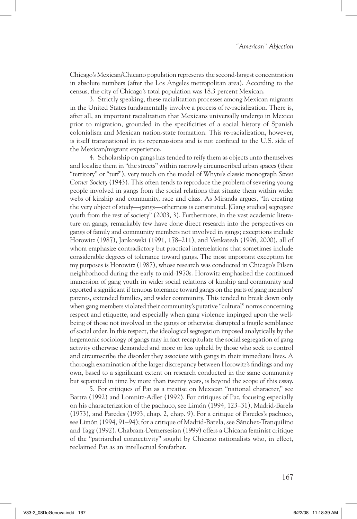Chicago's Mexican/Chicano population represents the second-largest concentration in absolute numbers (after the Los Angeles metropolitan area). According to the census, the city of Chicago's total population was 18.3 percent Mexican.

3. Strictly speaking, these racialization processes among Mexican migrants in the United States fundamentally involve a process of *re*-racialization. There is, after all, an important racialization that Mexicans universally undergo in Mexico prior to migration, grounded in the specificities of a social history of Spanish colonialism and Mexican nation-state formation. This re-racialization, however, is itself transnational in its repercussions and is not confined to the U.S. side of the Mexican/migrant experience.

4. Scholarship on gangs has tended to reify them as objects unto themselves and localize them in "the streets" within narrowly circumscribed urban spaces (their "territory" or "turf"), very much on the model of Whyte's classic monograph *Street Corner Society* (1943). This often tends to reproduce the problem of severing young people involved in gangs from the social relations that situate them within wider webs of kinship and community, race and class. As Miranda argues, "In creating the very object of study—gangs—otherness is constituted. [Gang studies] segregate youth from the rest of society" (2003, 3). Furthermore, in the vast academic literature on gangs, remarkably few have done direct research into the perspectives on gangs of family and community members not involved in gangs; exceptions include Horowitz (1987), Jankowski (1991, 178–211), and Venkatesh (1996, 2000), all of whom emphasize contradictory but practical interrelations that sometimes include considerable degrees of tolerance toward gangs. The most important exception for my purposes is Horowitz (1987), whose research was conducted in Chicago's Pilsen neighborhood during the early to mid-1970s. Horowitz emphasized the continued immersion of gang youth in wider social relations of kinship and community and reported a significant if tenuous tolerance toward gangs on the parts of gang members' parents, extended families, and wider community. This tended to break down only when gang members violated their community's putative "cultural" norms concerning respect and etiquette, and especially when gang violence impinged upon the wellbeing of those not involved in the gangs or otherwise disrupted a fragile semblance of social order. In this respect, the ideological segregation imposed analytically by the hegemonic sociology of gangs may in fact recapitulate the social segregation of gang activity otherwise demanded and more or less upheld by those who seek to control and circumscribe the disorder they associate with gangs in their immediate lives. A thorough examination of the larger discrepancy between Horowitz's findings and my own, based to a significant extent on research conducted in the same community but separated in time by more than twenty years, is beyond the scope of this essay.

5. For critiques of Paz as a treatise on Mexican "national character," see Bartra (1992) and Lomnitz-Adler (1992). For critiques of Paz, focusing especially on his characterization of the pachuco, see Limón (1994, 123–31), Madrid-Barela (1973), and Paredes (1993, chap. 2, chap. 9). For a critique of Paredes's pachuco, see Limón (1994, 91–94); for a critique of Madrid-Barela, see Sánchez-Tranquilino and Tagg (1992). Chabram-Dernersesian (1999) offers a Chicana feminist critique of the "patriarchal connectivity" sought by Chicano nationalists who, in effect, reclaimed Paz as an intellectual forefather.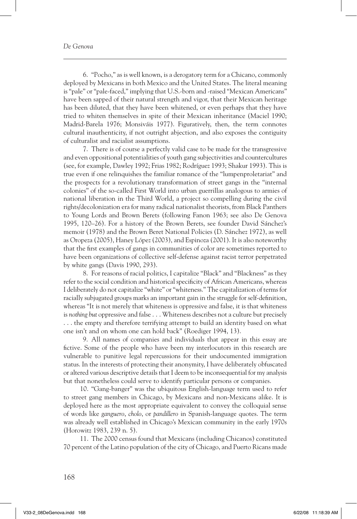6. "Pocho," as is well known, is a derogatory term for a Chicano, commonly deployed by Mexicans in both Mexico and the United States. The literal meaning is "pale" or "pale-faced," implying that U.S.-born and -raised "Mexican Americans" have been sapped of their natural strength and vigor, that their Mexican heritage has been diluted, that they have been whitened, or even perhaps that they have tried to whiten themselves in spite of their Mexican inheritance (Maciel 1990; Madrid-Barela 1976; Monsiváis 1977). Figuratively, then, the term connotes cultural inauthenticity, if not outright abjection, and also exposes the contiguity of culturalist and racialist assumptions.

7. There is of course a perfectly valid case to be made for the transgressive and even oppositional potentialities of youth gang subjectivities and countercultures (see, for example, Dawley 1992; Frias 1982; Rodríguez 1993; Shakur 1993). This is true even if one relinquishes the familiar romance of the "lumpenproletariat" and the prospects for a revolutionary transformation of street gangs in the "internal colonies" of the so-called First World into urban guerrillas analogous to armies of national liberation in the Third World, a project so compelling during the civil rights/decolonization era for many radical nationalist theorists, from Black Panthers to Young Lords and Brown Berets (following Fanon 1963; see also De Genova 1995, 120–26). For a history of the Brown Berets, see founder David Sánchez's memoir (1978) and the Brown Beret National Policies (D. Sánchez 1972), as well as Oropeza (2005), Haney López (2003), and Espinoza (2001). It is also noteworthy that the first examples of gangs in communities of color are sometimes reported to have been organizations of collective self-defense against racist terror perpetrated by white gangs (Davis 1990, 293).

8. For reasons of racial politics, I capitalize "Black" and "Blackness" as they refer to the social condition and historical specificity of African Americans, whereas I deliberately do not capitalize "white" or "whiteness." The capitalization of terms for racially subjugated groups marks an important gain in the struggle for self-definition, whereas "It is not merely that whiteness is oppressive and false, it is that whiteness is *nothing but* oppressive and false . . . Whiteness describes not a culture but precisely . . . the empty and therefore terrifying attempt to build an identity based on what one isn't and on whom one can hold back" (Roediger 1994, 13).

9. All names of companies and individuals that appear in this essay are fictive. Some of the people who have been my interlocutors in this research are vulnerable to punitive legal repercussions for their undocumented immigration status. In the interests of protecting their anonymity, I have deliberately obfuscated or altered various descriptive details that I deem to be inconsequential for my analysis but that nonetheless could serve to identify particular persons or companies.

10. "Gang-banger" was the ubiquitous English-language term used to refer to street gang members in Chicago, by Mexicans and non-Mexicans alike. It is deployed here as the most appropriate equivalent to convey the colloquial sense of words like *ganguero*, *cholo*, or *pandillero* in Spanish-language quotes. The term was already well established in Chicago's Mexican community in the early 1970s (Horowitz 1983, 239 n. 5).

11. The 2000 census found that Mexicans (including Chicanos) constituted 70 percent of the Latino population of the city of Chicago, and Puerto Ricans made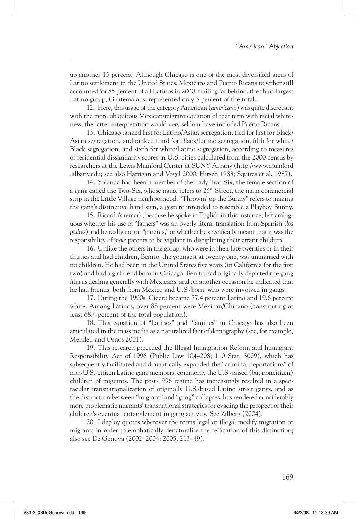up another 15 percent. Although Chicago is one of the most diversified areas of Latino settlement in the United States, Mexicans and Puerto Ricans together still accounted for 85 percent of all Latinos in 2000; trailing far behind, the third-largest Latino group, Guatemalans, represented only 3 percent of the total.

12. Here, this usage of the category American (*americano*) was quite discrepant with the more ubiquitous Mexican/migrant equation of that term with racial whiteness; the latter interpretation would very seldom have included Puerto Ricans.

13. Chicago ranked first for Latino/Asian segregation, tied for first for Black/ Asian segregation, and ranked third for Black/Latino segregation, fifth for white/ Black segregation, and sixth for white/Latino segregation, according to measures of residential dissimilarity scores in U.S. cities calculated from the 2000 census by researchers at the Lewis Mumford Center at SUNY Albany (http://www.mumford .albany.edu; see also Harrigan and Vogel 2000; Hirsch 1983; Squires et al. 1987).

14. Yolanda had been a member of the Lady Two-Six, the female section of a gang called the Two-Six, whose name refers to 26<sup>th</sup> Street, the main commercial strip in the Little Village neighborhood. "Throwin' up the Bunny" refers to making the gang's distinctive hand sign, a gesture intended to resemble a Playboy Bunny.

15. Ricardo's remark, because he spoke in English in this instance, left ambiguous whether his use of "fathers" was an overly literal translation from Spanish (*los padres*) and he really meant "parents," or whether he specifically meant that it was the responsibility of *male* parents to be vigilant in disciplining their errant children.

16. Unlike the others in the group, who were in their late twenties or in their thirties and had children, Benito, the youngest at twenty-one, was unmarried with no children. He had been in the United States five years (in California for the first two) and had a girlfriend born in Chicago. Benito had originally depicted the gang film as dealing generally with Mexicans, and on another occasion he indicated that he had friends, both from Mexico and U.S.-born, who were involved in gangs.

17. During the 1990s, Cicero became 77.4 percent Latino and 19.6 percent white. Among Latinos, over 88 percent were Mexican/Chicano (constituting at least 68.4 percent of the total population).

18. This equation of "Latinos" and "families" in Chicago has also been articulated in the mass media as a naturalized fact of demography (see, for example, Mendell and Osnos 2001).

19. This research preceded the Illegal Immigration Reform and Immigrant Responsibility Act of 1996 (Public Law 104–208; 110 Stat. 3009), which has subsequently facilitated and dramatically expanded the "criminal deportations" of non-U.S.-citizen Latino gang members, commonly the U.S.-raised (but noncitizen) children of migrants. The post-1996 regime has increasingly resulted in a spectacular transnationalization of originally U.S.-based Latino street gangs, and as the distinction between "migrant" and "gang" collapses, has rendered considerably more problematic migrants' transnational strategies for evading the prospect of their children's eventual entanglement in gang activity. See Zilberg (2004).

20. I deploy quotes wherever the terms legal or illegal modify migration or migrants in order to emphatically denaturalize the reification of this distinction; also see De Genova (2002; 2004; 2005, 213–49).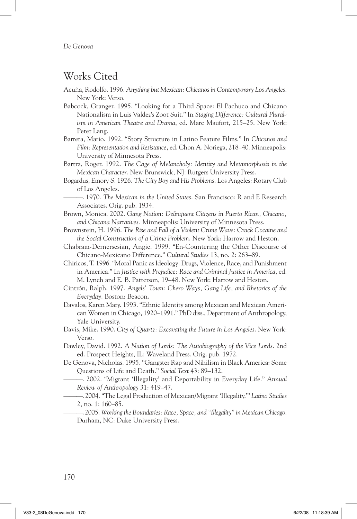### Works Cited

- Acuña, Rodolfo. 1996. *Anything but Mexican: Chicanos in Contemporary Los Angeles*. New York: Verso.
- Babcock, Granger. 1995. "Looking for a Third Space: El Pachuco and Chicano Nationalism in Luis Valdez's Zoot Suit." In *Staging Difference: Cultural Pluralism in American Theatre and Drama*, ed. Marc Maufort, 215–25. New York: Peter Lang.
- Barrera, Mario. 1992. "Story Structure in Latino Feature Films." In *Chicanos and Film: Representation and Resistance*, ed. Chon A. Noriega, 218–40. Minneapolis: University of Minnesota Press.
- Bartra, Roger. 1992. *The Cage of Melancholy: Identity and Metamorphosis in the Mexican Character*. New Brunswick, NJ: Rutgers University Press.
- Bogardus, Emory S. 1926. *The City Boy and His Problems*. Los Angeles: Rotary Club of Los Angeles.
	- ———. 1970. *The Mexican in the United States*. San Francisco: R and E Research Associates. Orig. pub. 1934.
- Brown, Monica. 2002. *Gang Nation: Delinquent Citizens in Puerto Rican, Chicano, and Chicana Narratives.* Minneapolis: University of Minnesota Press.
- Brownstein, H. 1996. *The Rise and Fall of a Violent Crime Wave: Crack Cocaine and the Social Construction of a Crime Problem*. New York: Harrow and Heston.
- Chabram-Dernersesian, Angie. 1999. "En-Countering the Other Discourse of Chicano-Mexicano Difference." *Cultural Studies* 13, no. 2: 263–89.
- Chiricos, T. 1996. "Moral Panic as Ideology: Drugs, Violence, Race, and Punishment in America." In *Justice with Prejudice: Race and Criminal Justice in America*, ed. M. Lynch and E. B. Patterson, 19–48. New York: Harrow and Heston.
- Cintrón, Ralph. 1997. *Angels' Town: Chero Ways, Gang Life, and Rhetorics of the Everyday*. Boston: Beacon.
- Davalos, Karen Mary. 1993. "Ethnic Identity among Mexican and Mexican American Women in Chicago, 1920–1991." PhD diss., Department of Anthropology, Yale University.
- Davis, Mike. 1990. *City of Quartz: Excavating the Future in Los Angeles*. New York: Verso.
- Dawley, David. 1992. *A Nation of Lords: The Autobiography of the Vice Lords*. 2nd ed. Prospect Heights, IL: Waveland Press. Orig. pub. 1972.
- De Genova, Nicholas. 1995. "Gangster Rap and Nihilism in Black America: Some Questions of Life and Death." *Social Text* 43: 89–132.
	- ———. 2002. "Migrant 'Illegality' and Deportability in Everyday Life." *Annual Review of Anthropology* 31: 419–47.
		- ———. 2004. "The Legal Production of Mexican/Migrant 'Illegality.'" *Latino Studies* 2, no. 1: 160–85.
		- ———. 2005. *Working the Boundaries: Race, Space, and "Illegality" in Mexican Chicago*. Durham, NC: Duke University Press.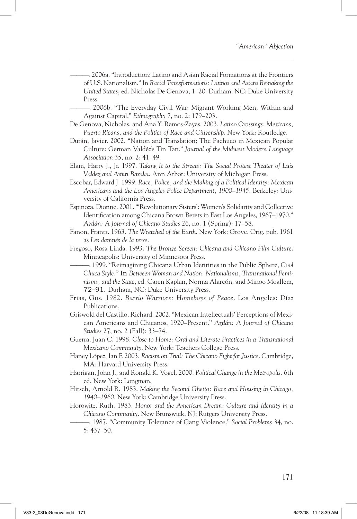———. 2006a. "Introduction: Latino and Asian Racial Formations at the Frontiers of U.S. Nationalism." In *Racial Transformations: Latinos and Asians Remaking the United States*, ed. Nicholas De Genova, 1–20. Durham, NC: Duke University Press.

———. 2006b. "The Everyday Civil War: Migrant Working Men, Within and Against Capital." *Ethnography* 7, no. 2: 179–203.

- De Genova, Nicholas, and Ana Y. Ramos-Zayas. 2003. *Latino Crossings: Mexicans, Puerto Ricans, and the Politics of Race and Citizenship*. New York: Routledge.
- Durán, Javier. 2002. "Nation and Translation: The Pachuco in Mexican Popular Culture: German Valdéz's Tin Tan." *Journal of the Midwest Modern Language Association* 35, no. 2: 41–49.
- Elam, Harry J., Jr. 1997. *Taking It to the Streets: The Social Protest Theater of Luis Valdez and Amiri Baraka*. Ann Arbor: University of Michigan Press.
- Escobar, Edward J. 1999. *Race, Police, and the Making of a Political Identity: Mexican Americans and the Los Angeles Police Department, 1900–1945*. Berkeley: University of California Press.
- Espinoza, Dionne. 2001. "'Revolutionary Sisters': Women's Solidarity and Collective Identification among Chicana Brown Berets in East Los Angeles, 1967–1970." *Aztlán: A Journal of Chicano Studies* 26, no. 1 (Spring): 17–58.
- Fanon, Frantz. 1963. *The Wretched of the Earth*. New York: Grove. Orig. pub. 1961 as *Les damnés de la terre*.
- Fregoso, Rosa Linda. 1993. *The Bronze Screen: Chicana and Chicano Film Culture*. Minneapolis: University of Minnesota Press.
	- ———. 1999. "Reimagining Chicana Urban Identities in the Public Sphere, *Cool Chuca Style*." In *Between Woman and Nation: Nationalisms, Transnational Feminisms, and the State*, ed. Caren Kaplan, Norma Alarcón, and Minoo Moallem, 72–91. Durham, NC: Duke University Press.
- Frias, Gus. 1982. *Barrio Warriors: Homeboys of Peace*. Los Angeles: Díaz Publications.
- Griswold del Castillo, Richard. 2002. "Mexican Intellectuals' Perceptions of Mexican Americans and Chicanos, 1920–Present." *Aztlán: A Journal of Chicano Studies* 27, no. 2 (Fall): 33–74.
- Guerra, Juan C. 1998. *Close to Home: Oral and Literate Practices in a Transnational Mexicano Community*. New York: Teachers College Press.
- Haney López, Ian F. 2003. *Racism on Trial: The Chicano Fight for Justice*. Cambridge, MA: Harvard University Press.
- Harrigan, John J., and Ronald K. Vogel. 2000. *Political Change in the Metropolis*. 6th ed. New York: Longman.
- Hirsch, Arnold R. 1983. *Making the Second Ghetto: Race and Housing in Chicago, 1940–1960*. New York: Cambridge University Press.
- Horowitz, Ruth. 1983. *Honor and the American Dream: Culture and Identity in a Chicano Community*. New Brunswick, NJ: Rutgers University Press.
	- ———. 1987. "Community Tolerance of Gang Violence." *Social Problems* 34, no. 5: 437–50.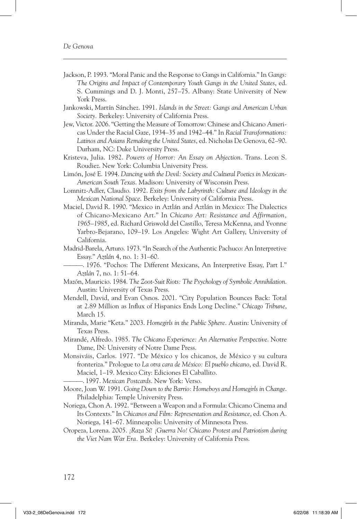- Jackson, P. 1993. "Moral Panic and the Response to Gangs in California." In *Gangs: The Origins and Impact of Contemporary Youth Gangs in the United States*, ed. S. Cummings and D. J. Monti, 257–75. Albany: State University of New York Press.
- Jankowski, Martín Sánchez. 1991. *Islands in the Street: Gangs and American Urban Society.* Berkeley: University of California Press.
- Jew, Victor. 2006. "Getting the Measure of Tomorrow: Chinese and Chicano Americas Under the Racial Gaze, 1934–35 and 1942–44." In *Racial Transformations: Latinos and Asians Remaking the United States*, ed. Nicholas De Genova, 62–90. Durham, NC: Duke University Press.
- Kristeva, Julia. 1982. *Powers of Horror: An Essay on Abjection*. Trans. Leon S. Roudiez. New York: Columbia University Press.
- Limón, José E. 1994. *Dancing with the Devil: Society and Cultural Poetics in Mexican-American South Texas*. Madison: University of Wisconsin Press.
- Lomnitz-Adler, Claudio. 1992. *Exits from the Labyrinth: Culture and Ideology in the Mexican National Space*. Berkeley: University of California Press.
- Maciel, David R. 1990. "Mexico in Aztlán and Aztlán in Mexico: The Dialectics of Chicano-Mexicano Art." In *Chicano Art: Resistance and Affirmation, 1965–1985*, ed. Richard Griswold del Castillo, Teresa McKenna, and Yvonne Yarbro-Bejarano, 109–19. Los Angeles: Wight Art Gallery, University of California.
- Madrid-Barela, Arturo. 1973. "In Search of the Authentic Pachuco: An Interpretive Essay." *Aztlán* 4, no. 1: 31–60.

———. 1976. "Pochos: The Different Mexicans, An Interpretive Essay, Part I." *Aztlán* 7, no. 1: 51–64.

- Mazón, Mauricio. 1984. *The Zoot-Suit Riots: The Psychology of Symbolic Annihilation*. Austin: University of Texas Press.
- Mendell, David, and Evan Osnos. 2001. "City Population Bounces Back: Total at 2.89 Million as Influx of Hispanics Ends Long Decline." *Chicago Tribune*, March 15.
- Miranda, Marie "Keta." 2003. *Homegirls in the Public Sphere*. Austin: University of Texas Press.
- Mirandé, Alfredo. 1985. *The Chicano Experience: An Alternative Perspective*. Notre Dame, IN: University of Notre Dame Press.
- Monsiváis, Carlos. 1977. "De México y los chicanos, de México y su cultura fronteriza." Prologue to *La otra cara de México: El pueblo chicano*, ed. David R. Maciel, 1–19. Mexico City: Ediciones El Caballito.

———. 1997. *Mexican Postcards*. New York: Verso.

- Moore, Joan W. 1991. *Going Down to the Barrio: Homeboys and Homegirls in Change*. Philadelphia: Temple University Press.
- Noriega, Chon A. 1992. "Between a Weapon and a Formula: Chicano Cinema and Its Contexts." In *Chicanos and Film: Representation and Resistance*, ed. Chon A. Noriega, 141–67. Minneapolis: University of Minnesota Press.
- Oropeza, Lorena. 2005. *¡Raza Sí! ¡Guerra No! Chicano Protest and Patriotism during the Viet Nam War Era.* Berkeley: University of California Press.

172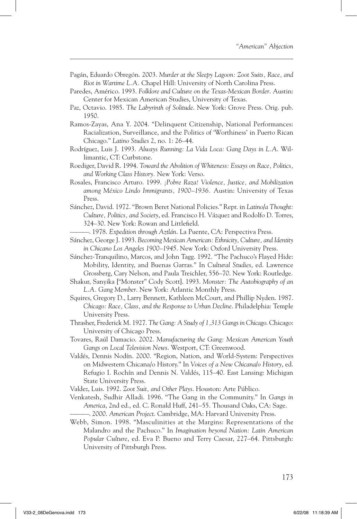- Pagán, Eduardo Obregón. 2003. *Murder at the Sleepy Lagoon: Zoot Suits, Race, and Riot in Wartime L.A.* Chapel Hill: University of North Carolina Press.
- Paredes, Américo. 1993. *Folklore and Culture on the Texas-Mexican Border*. Austin: Center for Mexican American Studies, University of Texas.
- Paz, Octavio. 1985. *The Labyrinth of Solitude*. New York: Grove Press. Orig. pub. 1950.
- Ramos-Zayas, Ana Y. 2004. "Delinquent Citizenship, National Performances: Racialization, Surveillance, and the Politics of 'Worthiness' in Puerto Rican Chicago." *Latino Studies* 2, no. 1: 26–44.
- Rodríguez, Luis J. 1993. *Always Running: La Vida Loca: Gang Days in L.A*. Willimantic, CT: Curbstone.
- Roediger, David R. 1994. *Toward the Abolition of Whiteness: Essays on Race, Politics, and Working Class History.* New York: Verso.
- Rosales, Francisco Arturo. 1999. *¡Pobre Raza! Violence, Justice, and Mobilization among México Lindo Immigrants, 1900–1936.* Austin: University of Texas Press.
- Sánchez, David. 1972. "Brown Beret National Policies." Repr. in *Latino/a Thought: Culture, Politics, and Society*, ed. Francisco H. Vázquez and Rodolfo D. Torres, 324–30. New York: Rowan and Littlefield.

———. 1978. *Expedition through Aztlán*. La Puente, CA: Perspectiva Press.

- Sánchez, George J. 1993. *Becoming Mexican American: Ethnicity, Culture, and Identity in Chicano Los Angeles 1900–1945*. New York: Oxford University Press.
- Sánchez-Tranquilino, Marcos, and John Tagg. 1992. "The Pachuco's Flayed Hide: Mobility, Identity, and Buenas Garras." In *Cultural Studies*, ed. Lawrence Grossberg, Cary Nelson, and Paula Treichler, 556–70. New York: Routledge.
- Shakur, Sanyika ["Monster" Cody Scott]. 1993. *Monster: The Autobiography of an L.A. Gang Member*. New York: Atlantic Monthly Press.
- Squires, Gregory D., Larry Bennett, Kathleen McCourt, and Phillip Nyden. 1987. *Chicago: Race, Class, and the Response to Urban Decline*. Philadelphia: Temple University Press.
- Thrasher, Frederick M. 1927. *The Gang: A Study of 1,313 Gangs in Chicago*. Chicago: University of Chicago Press.
- Tovares, Raúl Damacio. 2002. *Manufacturing the Gang: Mexican American Youth Gangs on Local Television News*. Westport, CT: Greenwood.
- Valdés, Dennis Nodín. 2000. "Region, Nation, and World-System: Perspectives on Midwestern Chicana/o History." In *Voices of a New Chicana/o History*, ed. Refugio I. Rochín and Dennis N. Valdés, 115–40. East Lansing: Michigan State University Press.

Valdez, Luis. 1992. *Zoot Suit, and Other Plays*. Houston: Arte Público.

- Venkatesh, Sudhir Alladi. 1996. "The Gang in the Community." In *Gangs in America*, 2nd ed., ed. C. Ronald Huff, 241–55. Thousand Oaks, CA: Sage. ———. 2000. *American Project*. Cambridge, MA: Harvard University Press.
- Webb, Simon. 1998. "Masculinities at the Margins: Representations of the Malandro and the Pachuco." In *Imagination beyond Nation: Latin American Popular Culture*, ed. Eva P. Bueno and Terry Caesar, 227–64. Pittsburgh: University of Pittsburgh Press.